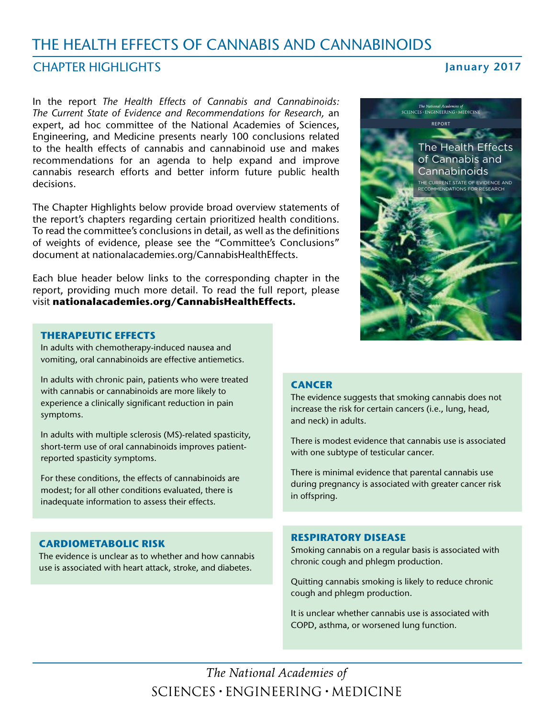# THE HEALTH EFFECTS OF CANNABIS AND CANNABINOIDS

### **CHAPTER HIGHLIGHTS**

### **January 2017**

In the report *The Health Effects of Cannabis and Cannabinoids: The Current State of Evidence and Recommendations for Research,* an expert, ad hoc committee of the National Academies of Sciences, Engineering, and Medicine presents nearly 100 conclusions related to the health effects of cannabis and cannabinoid use and makes recommendations for an agenda to help expand and improve cannabis research efforts and better inform future public health decisions.

The Chapter Highlights below provide broad overview statements of the report's chapters regarding certain prioritized health conditions. To read the committee's conclusions in detail, as well as the definitions of weights of evidence, please see the "Committee's Conclusions" document at [nationalacademies.org/CannabisHealthEffects](http://nationalacademies.org/CannabisHealthEffects).

Each blue header below links to the corresponding chapter in the report, providing much more detail. To read the full report, please visit **[nationalacademies.org/CannabisHealthEffects.](http://nationalacademies.org/CannabisHealthEffects)**

#### **[THERAPEUTIC EFFECTS](https://www.nap.edu/read/24625/chapter/6)**

In adults with chemotherapy-induced nausea and vomiting, oral cannabinoids are effective antiemetics.

In adults with chronic pain, patients who were treated with cannabis or cannabinoids are more likely to experience a clinically significant reduction in pain symptoms.

In adults with multiple sclerosis (MS)-related spasticity, short-term use of oral cannabinoids improves patientreported spasticity symptoms.

For these conditions, the effects of cannabinoids are modest; for all other conditions evaluated, there is inadequate information to assess their effects.

#### **[CARDIOMETABOLIC RISK](https://www.nap.edu/read/24625/chapter/8)**

The evidence is unclear as to whether and how cannabis use is associated with heart attack, stroke, and diabetes.



#### **[CANCER](https://www.nap.edu/read/24625/chapter/7)**

The evidence suggests that smoking cannabis does not increase the risk for certain cancers (i.e., lung, head, and neck) in adults.

There is modest evidence that cannabis use is associated with one subtype of testicular cancer.

There is minimal evidence that parental cannabis use during pregnancy is associated with greater cancer risk in offspring.

#### **[RESPIRATORY DISEASE](https://www.nap.edu/read/24625/chapter/9)**

Smoking cannabis on a regular basis is associated with chronic cough and phlegm production.

Quitting cannabis smoking is likely to reduce chronic cough and phlegm production.

It is unclear whether cannabis use is associated with COPD, asthma, or worsened lung function.

The National Academies of  $SCIENCES \cdot ENGINEERING \cdot MEDICINE$